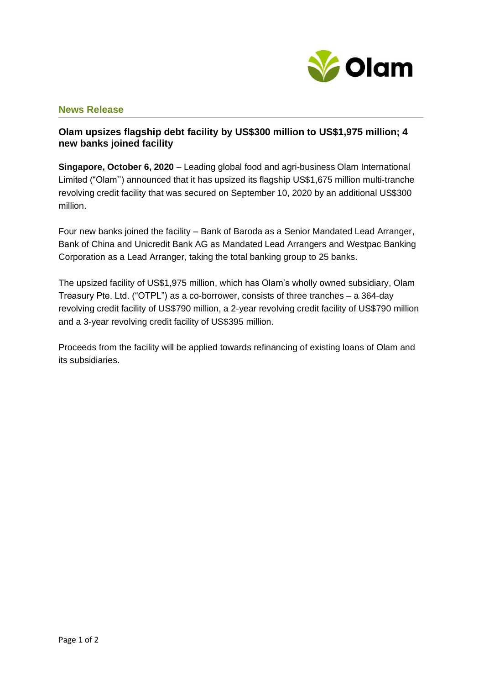

## **News Release**

## **Olam upsizes flagship debt facility by US\$300 million to US\$1,975 million; 4 new banks joined facility**

**Singapore, October 6, 2020** – Leading global food and agri-business Olam International Limited ("Olam'') announced that it has upsized its flagship US\$1,675 million multi-tranche revolving credit facility that was secured on September 10, 2020 by an additional US\$300 million.

Four new banks joined the facility – Bank of Baroda as a Senior Mandated Lead Arranger, Bank of China and Unicredit Bank AG as Mandated Lead Arrangers and Westpac Banking Corporation as a Lead Arranger, taking the total banking group to 25 banks.

The upsized facility of US\$1,975 million, which has Olam's wholly owned subsidiary, Olam Treasury Pte. Ltd. ("OTPL") as a co-borrower, consists of three tranches – a 364-day revolving credit facility of US\$790 million, a 2-year revolving credit facility of US\$790 million and a 3-year revolving credit facility of US\$395 million.

Proceeds from the facility will be applied towards refinancing of existing loans of Olam and its subsidiaries.